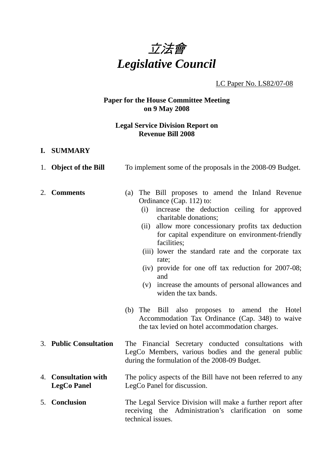

# LC Paper No. LS82/07-08

# **Paper for the House Committee Meeting on 9 May 2008**

#### **Legal Service Division Report on Revenue Bill 2008**

1. **Object of the Bill** To implement some of the proposals in the 2008-09 Budget.

#### **I. SUMMARY**

| 2. Comments                                | The Bill proposes to amend the Inland Revenue<br>(a)                                                                                                          |
|--------------------------------------------|---------------------------------------------------------------------------------------------------------------------------------------------------------------|
|                                            | Ordinance (Cap. 112) to:                                                                                                                                      |
|                                            | increase the deduction ceiling for approved<br>(i)<br>charitable donations;                                                                                   |
|                                            | allow more concessionary profits tax deduction<br>(ii)                                                                                                        |
|                                            | for capital expenditure on environment-friendly<br>facilities;                                                                                                |
|                                            | (iii) lower the standard rate and the corporate tax<br>rate;                                                                                                  |
|                                            | (iv) provide for one off tax reduction for $2007-08$ ;<br>and                                                                                                 |
|                                            | (v) increase the amounts of personal allowances and<br>widen the tax bands.                                                                                   |
|                                            | (b) The Bill also proposes to amend the<br>Hotel<br>Accommodation Tax Ordinance (Cap. 348) to waive<br>the tax levied on hotel accommodation charges.         |
| 3. Public Consultation                     | The Financial Secretary conducted consultations with<br>LegCo Members, various bodies and the general public<br>during the formulation of the 2008-09 Budget. |
| 4. Consultation with<br><b>LegCo Panel</b> | The policy aspects of the Bill have not been referred to any<br>LegCo Panel for discussion.                                                                   |

5. **Conclusion** The Legal Service Division will make a further report after receiving the Administration's clarification on some technical issues.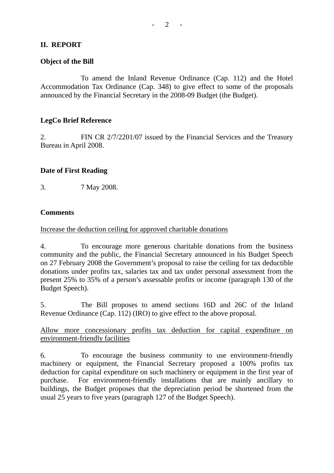# **II. REPORT**

#### **Object of the Bill**

1. To amend the Inland Revenue Ordinance (Cap. 112) and the Hotel Accommodation Tax Ordinance (Cap. 348) to give effect to some of the proposals announced by the Financial Secretary in the 2008-09 Budget (the Budget).

# **LegCo Brief Reference**

2. FIN CR 2/7/2201/07 issued by the Financial Services and the Treasury Bureau in April 2008.

# **Date of First Reading**

3. 7 May 2008.

# **Comments**

Increase the deduction ceiling for approved charitable donations

4. To encourage more generous charitable donations from the business community and the public, the Financial Secretary announced in his Budget Speech on 27 February 2008 the Government's proposal to raise the ceiling for tax deductible donations under profits tax, salaries tax and tax under personal assessment from the present 25% to 35% of a person's assessable profits or income (paragraph 130 of the Budget Speech).

5. The Bill proposes to amend sections 16D and 26C of the Inland Revenue Ordinance (Cap. 112) (IRO) to give effect to the above proposal.

Allow more concessionary profits tax deduction for capital expenditure on environment-friendly facilities

6. To encourage the business community to use environment-friendly machinery or equipment, the Financial Secretary proposed a 100% profits tax deduction for capital expenditure on such machinery or equipment in the first year of purchase. For environment-friendly installations that are mainly ancillary to buildings, the Budget proposes that the depreciation period be shortened from the usual 25 years to five years (paragraph 127 of the Budget Speech).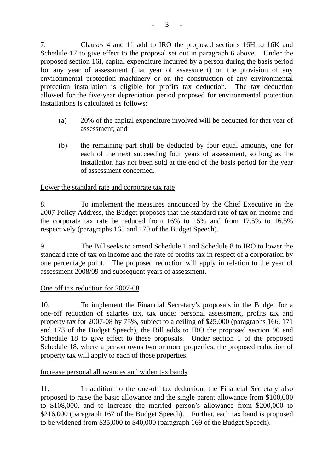7. Clauses 4 and 11 add to IRO the proposed sections 16H to 16K and Schedule 17 to give effect to the proposal set out in paragraph 6 above. Under the proposed section 16I, capital expenditure incurred by a person during the basis period for any year of assessment (that year of assessment) on the provision of any environmental protection machinery or on the construction of any environmental protection installation is eligible for profits tax deduction. The tax deduction allowed for the five-year depreciation period proposed for environmental protection installations is calculated as follows:

- (a) 20% of the capital expenditure involved will be deducted for that year of assessment; and
- (b) the remaining part shall be deducted by four equal amounts, one for each of the next succeeding four years of assessment, so long as the installation has not been sold at the end of the basis period for the year of assessment concerned.

# Lower the standard rate and corporate tax rate

8. To implement the measures announced by the Chief Executive in the 2007 Policy Address, the Budget proposes that the standard rate of tax on income and the corporate tax rate be reduced from 16% to 15% and from 17.5% to 16.5% respectively (paragraphs 165 and 170 of the Budget Speech).

9. The Bill seeks to amend Schedule 1 and Schedule 8 to IRO to lower the standard rate of tax on income and the rate of profits tax in respect of a corporation by one percentage point. The proposed reduction will apply in relation to the year of assessment 2008/09 and subsequent years of assessment.

#### One off tax reduction for 2007-08

10. To implement the Financial Secretary's proposals in the Budget for a one-off reduction of salaries tax, tax under personal assessment, profits tax and property tax for 2007-08 by 75%, subject to a ceiling of \$25,000 (paragraphs 166, 171 and 173 of the Budget Speech), the Bill adds to IRO the proposed section 90 and Schedule 18 to give effect to these proposals. Under section 1 of the proposed Schedule 18, where a person owns two or more properties, the proposed reduction of property tax will apply to each of those properties.

#### Increase personal allowances and widen tax bands

11. In addition to the one-off tax deduction, the Financial Secretary also proposed to raise the basic allowance and the single parent allowance from \$100,000 to \$108,000, and to increase the married person's allowance from \$200,000 to \$216,000 (paragraph 167 of the Budget Speech). Further, each tax band is proposed to be widened from \$35,000 to \$40,000 (paragraph 169 of the Budget Speech).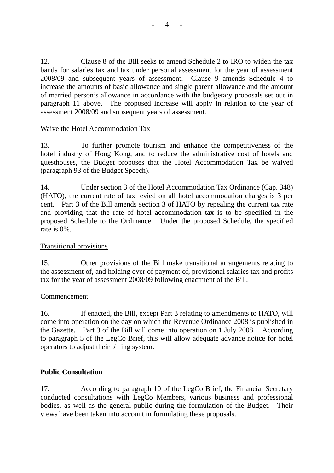12. Clause 8 of the Bill seeks to amend Schedule 2 to IRO to widen the tax bands for salaries tax and tax under personal assessment for the year of assessment 2008/09 and subsequent years of assessment. Clause 9 amends Schedule 4 to increase the amounts of basic allowance and single parent allowance and the amount of married person's allowance in accordance with the budgetary proposals set out in paragraph 11 above. The proposed increase will apply in relation to the year of assessment 2008/09 and subsequent years of assessment.

# Waive the Hotel Accommodation Tax

13. To further promote tourism and enhance the competitiveness of the hotel industry of Hong Kong, and to reduce the administrative cost of hotels and guesthouses, the Budget proposes that the Hotel Accommodation Tax be waived (paragraph 93 of the Budget Speech).

14. Under section 3 of the Hotel Accommodation Tax Ordinance (Cap. 348) (HATO), the current rate of tax levied on all hotel accommodation charges is 3 per cent. Part 3 of the Bill amends section 3 of HATO by repealing the current tax rate and providing that the rate of hotel accommodation tax is to be specified in the proposed Schedule to the Ordinance. Under the proposed Schedule, the specified rate is 0%.

#### Transitional provisions

15. Other provisions of the Bill make transitional arrangements relating to the assessment of, and holding over of payment of, provisional salaries tax and profits tax for the year of assessment 2008/09 following enactment of the Bill.

#### Commencement

16. If enacted, the Bill, except Part 3 relating to amendments to HATO, will come into operation on the day on which the Revenue Ordinance 2008 is published in the Gazette. Part 3 of the Bill will come into operation on 1 July 2008. According to paragraph 5 of the LegCo Brief, this will allow adequate advance notice for hotel operators to adjust their billing system.

# **Public Consultation**

17. According to paragraph 10 of the LegCo Brief, the Financial Secretary conducted consultations with LegCo Members, various business and professional bodies, as well as the general public during the formulation of the Budget. Their views have been taken into account in formulating these proposals.